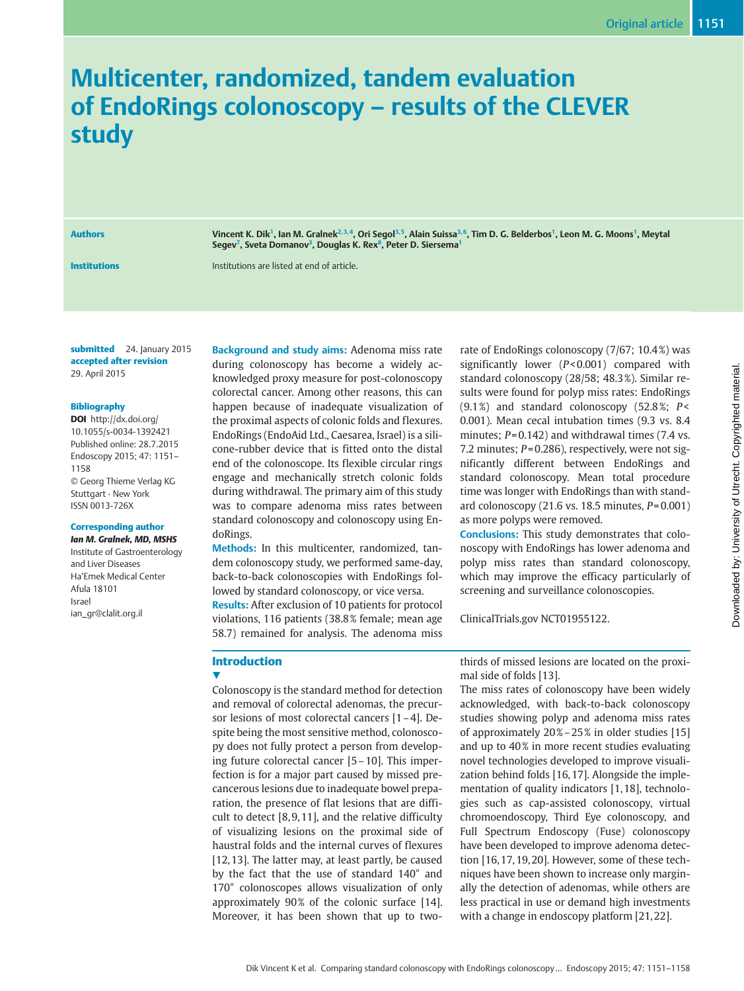# Multicenter, randomized, tandem evaluation of EndoRings colonoscopy – results of the CLEVER study

Authors Vincent K. Dik<sup>1</sup>, Ian M. Gralnek<sup>2, 3, 4</sup>, Ori Segol<sup>3, 5</sup>, Alain Suissa<sup>3, 6</sup>, Tim D. G. Belderbos<sup>1</sup>, Leon M. G. Moons<sup>1</sup>, Meytal Segev<sup>7</sup>, Sveta Domanov<sup>3</sup>, Douglas K. Rex<sup>8</sup>, Peter D. Siersema<sup>1</sup>

Institutions Institutions are listed at end of article.

submitted 24. January 2015 accepted after revision 29. April 2015

## Bibliography

DOI http://dx.doi.org/ 10.1055/s-0034-1392421 Published online: 28.7.2015 Endoscopy 2015; 47: 1151– 1158 © Georg Thieme Verlag KG Stuttgart · New York ISSN 0013-726X

#### Corresponding author

Ian M. Gralnek, MD, MSHS Institute of Gastroenterology and Liver Diseases Ha'Emek Medical Center Afula 18101 Israel ian\_gr@clalit.org.il

Background and study aims: Adenoma miss rate during colonoscopy has become a widely acknowledged proxy measure for post-colonoscopy colorectal cancer. Among other reasons, this can happen because of inadequate visualization of the proximal aspects of colonic folds and flexures. EndoRings (EndoAid Ltd., Caesarea, Israel) is a silicone-rubber device that is fitted onto the distal end of the colonoscope. Its flexible circular rings engage and mechanically stretch colonic folds during withdrawal. The primary aim of this study was to compare adenoma miss rates between standard colonoscopy and colonoscopy using EndoRings.

Methods: In this multicenter, randomized, tandem colonoscopy study, we performed same-day, back-to-back colonoscopies with EndoRings followed by standard colonoscopy, or vice versa.

Results: After exclusion of 10 patients for protocol violations, 116 patients (38.8 % female; mean age 58.7) remained for analysis. The adenoma miss

rate of EndoRings colonoscopy (7/67; 10.4 %) was significantly lower (P< 0.001) compared with standard colonoscopy (28/58; 48.3 %). Similar results were found for polyp miss rates: EndoRings  $(9.1\%)$  and standard colonoscopy  $(52.8\%)$  P< 0.001). Mean cecal intubation times (9.3 vs. 8.4 minutes;  $P = 0.142$ ) and withdrawal times (7.4 vs. 7.2 minutes; P= 0.286), respectively, were not significantly different between EndoRings and standard colonoscopy. Mean total procedure time was longer with EndoRings than with standard colonoscopy  $(21.6 \text{ vs. } 18.5 \text{ minutes}, P=0.001)$ as more polyps were removed.

Conclusions: This study demonstrates that colonoscopy with EndoRings has lower adenoma and polyp miss rates than standard colonoscopy, which may improve the efficacy particularly of screening and surveillance colonoscopies.

ClinicalTrials.gov NCT01955122.

# Introduction

v, Colonoscopy is the standard method for detection and removal of colorectal adenomas, the precursor lesions of most colorectal cancers [1–4]. Despite being the most sensitive method, colonoscopy does not fully protect a person from developing future colorectal cancer [5–10]. This imperfection is for a major part caused by missed precancerous lesions due to inadequate bowel preparation, the presence of flat lesions that are difficult to detect [8, 9, 11], and the relative difficulty of visualizing lesions on the proximal side of haustral folds and the internal curves of flexures [12, 13]. The latter may, at least partly, be caused by the fact that the use of standard 140° and 170° colonoscopes allows visualization of only approximately  $90\%$  of the colonic surface [14]. Moreover, it has been shown that up to twothirds of missed lesions are located on the proximal side of folds [13].

The miss rates of colonoscopy have been widely acknowledged, with back-to-back colonoscopy studies showing polyp and adenoma miss rates of approximately 20 %–25 % in older studies [15] and up to 40% in more recent studies evaluating novel technologies developed to improve visualization behind folds [16, 17]. Alongside the implementation of quality indicators [1, 18], technologies such as cap-assisted colonoscopy, virtual chromoendoscopy, Third Eye colonoscopy, and Full Spectrum Endoscopy (Fuse) colonoscopy have been developed to improve adenoma detection [16, 17, 19, 20]. However, some of these techniques have been shown to increase only marginally the detection of adenomas, while others are less practical in use or demand high investments with a change in endoscopy platform [21, 22].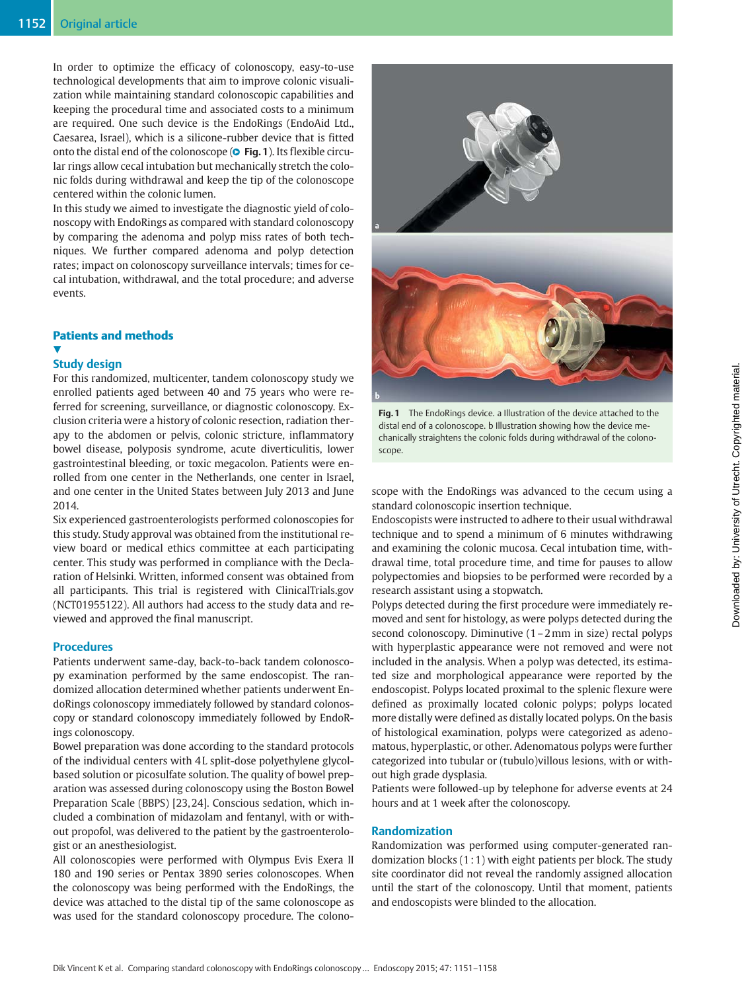In order to optimize the efficacy of colonoscopy, easy-to-use technological developments that aim to improve colonic visualization while maintaining standard colonoscopic capabilities and keeping the procedural time and associated costs to a minimum are required. One such device is the EndoRings (EndoAid Ltd., Caesarea, Israel), which is a silicone-rubber device that is fitted onto the distal end of the colonoscope (**© Fig. 1**). Its flexible circular rings allow cecal intubation but mechanically stretch the colonic folds during withdrawal and keep the tip of the colonoscope centered within the colonic lumen.

In this study we aimed to investigate the diagnostic yield of colonoscopy with EndoRings as compared with standard colonoscopy by comparing the adenoma and polyp miss rates of both techniques. We further compared adenoma and polyp detection rates; impact on colonoscopy surveillance intervals; times for cecal intubation, withdrawal, and the total procedure; and adverse events.

# Patients and methods

# v,

# Study design

For this randomized, multicenter, tandem colonoscopy study we enrolled patients aged between 40 and 75 years who were referred for screening, surveillance, or diagnostic colonoscopy. Exclusion criteria were a history of colonic resection, radiation therapy to the abdomen or pelvis, colonic stricture, inflammatory bowel disease, polyposis syndrome, acute diverticulitis, lower gastrointestinal bleeding, or toxic megacolon. Patients were enrolled from one center in the Netherlands, one center in Israel, and one center in the United States between July 2013 and June 2014.

Six experienced gastroenterologists performed colonoscopies for this study. Study approval was obtained from the institutional review board or medical ethics committee at each participating center. This study was performed in compliance with the Declaration of Helsinki. Written, informed consent was obtained from all participants. This trial is registered with ClinicalTrials.gov (NCT01955122). All authors had access to the study data and reviewed and approved the final manuscript.

# **Procedures**

Patients underwent same-day, back-to-back tandem colonoscopy examination performed by the same endoscopist. The randomized allocation determined whether patients underwent EndoRings colonoscopy immediately followed by standard colonoscopy or standard colonoscopy immediately followed by EndoRings colonoscopy.

Bowel preparation was done according to the standard protocols of the individual centers with 4 L split-dose polyethylene glycolbased solution or picosulfate solution. The quality of bowel preparation was assessed during colonoscopy using the Boston Bowel Preparation Scale (BBPS) [23, 24]. Conscious sedation, which included a combination of midazolam and fentanyl, with or without propofol, was delivered to the patient by the gastroenterologist or an anesthesiologist.

All colonoscopies were performed with Olympus Evis Exera II 180 and 190 series or Pentax 3890 series colonoscopes. When the colonoscopy was being performed with the EndoRings, the device was attached to the distal tip of the same colonoscope as was used for the standard colonoscopy procedure. The colono-



Fig. 1 The EndoRings device. a Illustration of the device attached to the distal end of a colonoscope. b Illustration showing how the device mechanically straightens the colonic folds during withdrawal of the colonoscope.

scope with the EndoRings was advanced to the cecum using a standard colonoscopic insertion technique.

Endoscopists were instructed to adhere to their usual withdrawal technique and to spend a minimum of 6 minutes withdrawing and examining the colonic mucosa. Cecal intubation time, withdrawal time, total procedure time, and time for pauses to allow polypectomies and biopsies to be performed were recorded by a research assistant using a stopwatch.

Polyps detected during the first procedure were immediately removed and sent for histology, as were polyps detected during the second colonoscopy. Diminutive (1–2mm in size) rectal polyps with hyperplastic appearance were not removed and were not included in the analysis. When a polyp was detected, its estimated size and morphological appearance were reported by the endoscopist. Polyps located proximal to the splenic flexure were defined as proximally located colonic polyps; polyps located more distally were defined as distally located polyps. On the basis of histological examination, polyps were categorized as adenomatous, hyperplastic, or other. Adenomatous polyps were further categorized into tubular or (tubulo)villous lesions, with or without high grade dysplasia.

Patients were followed-up by telephone for adverse events at 24 hours and at 1 week after the colonoscopy.

# Randomization

Randomization was performed using computer-generated randomization blocks (1 : 1) with eight patients per block. The study site coordinator did not reveal the randomly assigned allocation until the start of the colonoscopy. Until that moment, patients and endoscopists were blinded to the allocation.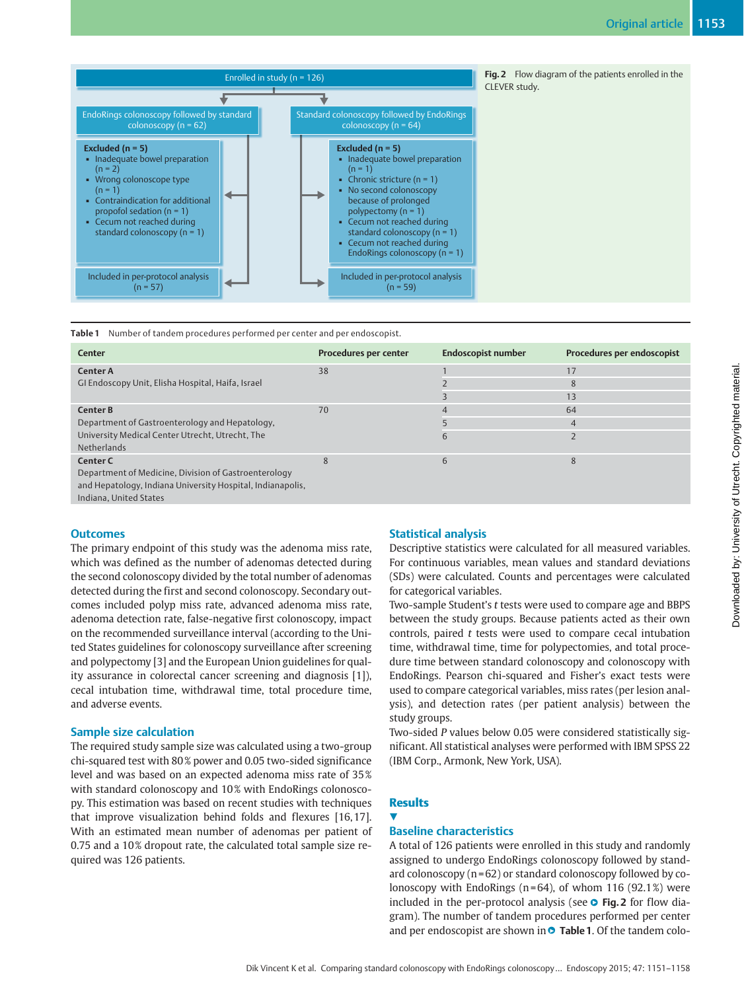

Table 1 Number of tandem procedures performed per center and per endoscopist.

| <b>Center</b>                                              | Procedures per center | <b>Endoscopist number</b> | Procedures per endoscopist |
|------------------------------------------------------------|-----------------------|---------------------------|----------------------------|
| <b>Center A</b>                                            | 38                    |                           | 17                         |
| GI Endoscopy Unit, Elisha Hospital, Haifa, Israel          |                       |                           | 8                          |
|                                                            |                       |                           | 13                         |
| <b>Center B</b>                                            | 70                    | 4                         | 64                         |
| Department of Gastroenterology and Hepatology,             |                       |                           | $\overline{4}$             |
| University Medical Center Utrecht, Utrecht, The            |                       |                           |                            |
| Netherlands                                                |                       |                           |                            |
| Center C                                                   | 8                     | 6                         | $\mathsf{R}$               |
| Department of Medicine, Division of Gastroenterology       |                       |                           |                            |
| and Hepatology, Indiana University Hospital, Indianapolis, |                       |                           |                            |
| Indiana. United States                                     |                       |                           |                            |

# **Outcomes**

The primary endpoint of this study was the adenoma miss rate, which was defined as the number of adenomas detected during the second colonoscopy divided by the total number of adenomas detected during the first and second colonoscopy. Secondary outcomes included polyp miss rate, advanced adenoma miss rate, adenoma detection rate, false-negative first colonoscopy, impact on the recommended surveillance interval (according to the United States guidelines for colonoscopy surveillance after screening and polypectomy [3] and the European Union guidelines for quality assurance in colorectal cancer screening and diagnosis [1]), cecal intubation time, withdrawal time, total procedure time, and adverse events.

# Sample size calculation

The required study sample size was calculated using a two-group chi-squared test with 80 % power and 0.05 two-sided significance level and was based on an expected adenoma miss rate of 35 % with standard colonoscopy and 10% with EndoRings colonoscopy. This estimation was based on recent studies with techniques that improve visualization behind folds and flexures [16, 17]. With an estimated mean number of adenomas per patient of 0.75 and a 10 % dropout rate, the calculated total sample size required was 126 patients.

# Statistical analysis

Descriptive statistics were calculated for all measured variables. For continuous variables, mean values and standard deviations (SDs) were calculated. Counts and percentages were calculated for categorical variables.

Two-sample Student's t tests were used to compare age and BBPS between the study groups. Because patients acted as their own controls, paired  $t$  tests were used to compare cecal intubation time, withdrawal time, time for polypectomies, and total procedure time between standard colonoscopy and colonoscopy with EndoRings. Pearson chi-squared and Fisher's exact tests were used to compare categorical variables, miss rates (per lesion analysis), and detection rates (per patient analysis) between the study groups.

Two-sided P values below 0.05 were considered statistically significant. All statistical analyses were performed with IBM SPSS 22 (IBM Corp., Armonk, New York, USA).

# **Results**

#### <u>V</u>

# Baseline characteristics

A total of 126 patients were enrolled in this study and randomly assigned to undergo EndoRings colonoscopy followed by standard colonoscopy  $(n=62)$  or standard colonoscopy followed by colonoscopy with EndoRings ( $n = 64$ ), of whom 116 (92.1%) were included in the per-protocol analysis (see **O** Fig. 2 for flow diagram). The number of tandem procedures performed per center and per endoscopist are shown in **O** Table 1. Of the tandem colo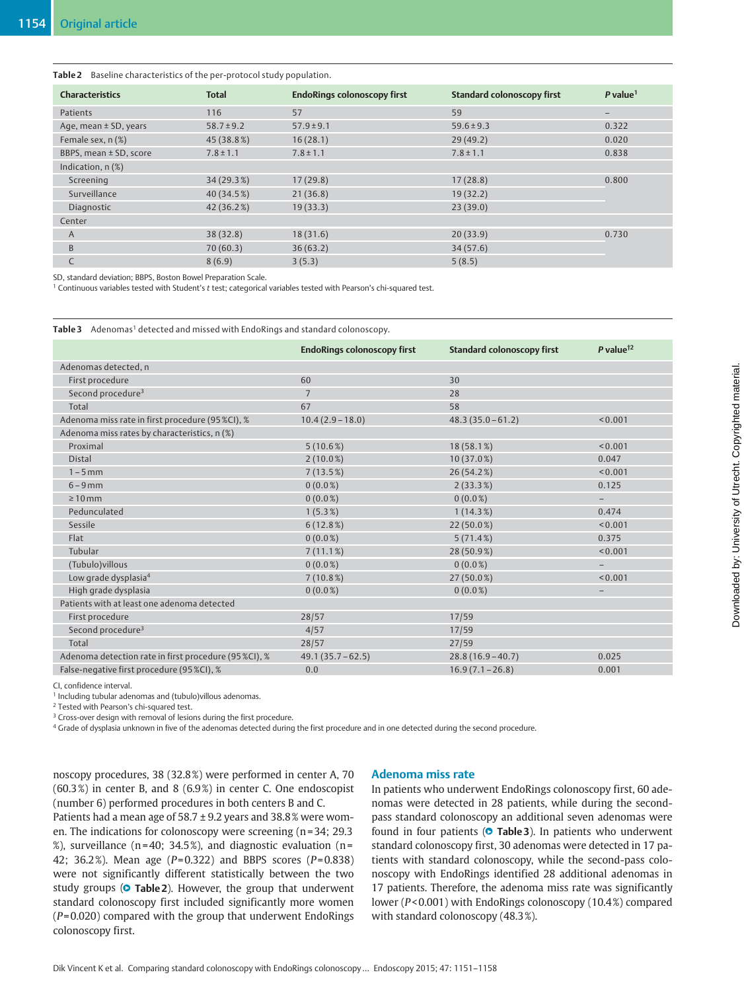Table 2 Baseline characteristics of the per-protocol study population.

| <b>Total</b>   | <b>EndoRings colonoscopy first</b> | <b>Standard colonoscopy first</b> | $P$ value <sup>1</sup>   |
|----------------|------------------------------------|-----------------------------------|--------------------------|
| 116            | 57                                 | 59                                | $\overline{\phantom{0}}$ |
| $58.7 \pm 9.2$ | $57.9 \pm 9.1$                     | $59.6 \pm 9.3$                    | 0.322                    |
| 45 (38.8%)     | 16(28.1)                           | 29(49.2)                          | 0.020                    |
| $7.8 \pm 1.1$  | $7.8 \pm 1.1$                      | $7.8 \pm 1.1$                     | 0.838                    |
|                |                                    |                                   |                          |
| 34(29.3%)      | 17(29.8)                           | 17(28.8)                          | 0.800                    |
| 40 (34.5%)     | 21(36.8)                           | 19(32.2)                          |                          |
| 42(36.2%)      | 19(33.3)                           | 23(39.0)                          |                          |
|                |                                    |                                   |                          |
| 38(32.8)       | 18(31.6)                           | 20(33.9)                          | 0.730                    |
| 70(60.3)       | 36(63.2)                           | 34(57.6)                          |                          |
| 8(6.9)         | 3(5.3)                             | 5(8.5)                            |                          |
|                |                                    |                                   |                          |

SD, standard deviation; BBPS, Boston Bowel Preparation Scale.

<sup>1</sup> Continuous variables tested with Student's t test; categorical variables tested with Pearson's chi-squared test.

Table 3 Adenomas<sup>1</sup> detected and missed with EndoRings and standard colonoscopy.

|                                                       | <b>EndoRings colonoscopy first</b> | <b>Standard colonoscopy first</b> | P value $\frac{1}{2}$    |
|-------------------------------------------------------|------------------------------------|-----------------------------------|--------------------------|
| Adenomas detected, n                                  |                                    |                                   |                          |
| First procedure                                       | 60                                 | 30                                |                          |
| Second procedure <sup>3</sup>                         | $\overline{7}$                     | 28                                |                          |
| Total                                                 | 67                                 | 58                                |                          |
| Adenoma miss rate in first procedure (95 %CI), %      | $10.4(2.9 - 18.0)$                 | $48.3(35.0 - 61.2)$               | < 0.001                  |
| Adenoma miss rates by characteristics, n (%)          |                                    |                                   |                          |
| Proximal                                              | 5(10.6%)                           | 18(58.1%)                         | < 0.001                  |
| <b>Distal</b>                                         | $2(10.0\%)$                        | $10(37.0\%)$                      | 0.047                    |
| $1 - 5$ mm                                            | 7(13.5%)                           | 26 (54.2%)                        | < 0.001                  |
| $6 - 9$ mm                                            | $0(0.0\%)$                         | $2(33.3\%)$                       | 0.125                    |
| $\geq 10$ mm                                          | $0(0.0\%)$                         | $0(0.0\%)$                        | $\qquad \qquad -$        |
| Pedunculated                                          | $1(5.3\%)$                         | $1(14.3\%)$                       | 0.474                    |
| Sessile                                               | 6(12.8%)                           | $22(50.0\%)$                      | < 0.001                  |
| Flat                                                  | $0(0.0\%)$                         | 5(71.4%)                          | 0.375                    |
| Tubular                                               | 7(11.1%)                           | 28 (50.9%)                        | < 0.001                  |
| (Tubulo) villous                                      | $0(0.0\%)$                         | $0(0.0\%)$                        | $\overline{\phantom{a}}$ |
| Low grade dysplasia <sup>4</sup>                      | $7(10.8\%)$                        | $27(50.0\%)$                      | < 0.001                  |
| High grade dysplasia                                  | $0(0.0\%)$                         | $0(0.0\%)$                        | $-$                      |
| Patients with at least one adenoma detected           |                                    |                                   |                          |
| First procedure                                       | 28/57                              | 17/59                             |                          |
| Second procedure <sup>3</sup>                         | 4/57                               | 17/59                             |                          |
| Total                                                 | 28/57                              | 27/59                             |                          |
| Adenoma detection rate in first procedure (95 %CI), % | $49.1(35.7 - 62.5)$                | $28.8(16.9 - 40.7)$               | 0.025                    |
| False-negative first procedure (95 %CI), %            | 0.0                                | $16.9(7.1 - 26.8)$                | 0.001                    |

CI, confidence interval.

<sup>1</sup> Including tubular adenomas and (tubulo)villous adenomas.

<sup>2</sup> Tested with Pearson's chi-squared test.

<sup>3</sup> Cross-over design with removal of lesions during the first procedure.

<sup>4</sup> Grade of dysplasia unknown in five of the adenomas detected during the first procedure and in one detected during the second procedure.

noscopy procedures, 38 (32.8 %) were performed in center A, 70  $(60.3\%)$  in center B, and 8  $(6.9\%)$  in center C. One endoscopist (number 6) performed procedures in both centers B and C.

# Patients had a mean age of 58.7 ± 9.2 years and 38.8 % were women. The indications for colonoscopy were screening (n=34; 29.3) %), surveillance ( $n = 40$ ; 34.5%), and diagnostic evaluation ( $n =$ 42; 36.2%). Mean age ( $P = 0.322$ ) and BBPS scores ( $P = 0.838$ ) were not significantly different statistically between the two study groups (**O Table 2**). However, the group that underwent standard colonoscopy first included significantly more women  $(P= 0.020)$  compared with the group that underwent EndoRings colonoscopy first.

# Adenoma miss rate

In patients who underwent EndoRings colonoscopy first, 60 adenomas were detected in 28 patients, while during the secondpass standard colonoscopy an additional seven adenomas were found in four patients (**O Table 3**). In patients who underwent standard colonoscopy first, 30 adenomas were detected in 17 patients with standard colonoscopy, while the second-pass colonoscopy with EndoRings identified 28 additional adenomas in 17 patients. Therefore, the adenoma miss rate was significantly lower (P< 0.001) with EndoRings colonoscopy (10.4 %) compared with standard colonoscopy (48.3 %).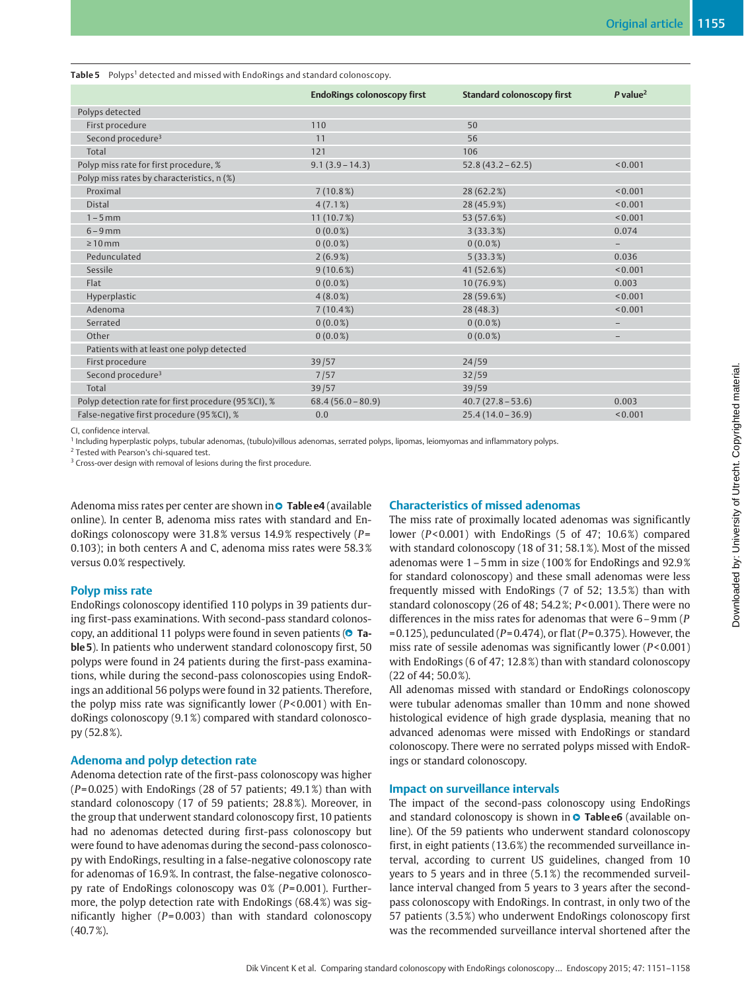|  | Table 5 Polyps <sup>1</sup> detected and missed with EndoRings and standard colonoscopy. |  |
|--|------------------------------------------------------------------------------------------|--|
|  |                                                                                          |  |

|                                                      | <b>EndoRings colonoscopy first</b> | <b>Standard colonoscopy first</b> | $P$ value <sup>2</sup>   |
|------------------------------------------------------|------------------------------------|-----------------------------------|--------------------------|
| Polyps detected                                      |                                    |                                   |                          |
| First procedure                                      | 110                                | 50                                |                          |
| Second procedure <sup>3</sup>                        | 11                                 | 56                                |                          |
| Total                                                | 121                                | 106                               |                          |
| Polyp miss rate for first procedure, %               | $9.1(3.9 - 14.3)$                  | $52.8(43.2 - 62.5)$               | < 0.001                  |
| Polyp miss rates by characteristics, n (%)           |                                    |                                   |                          |
| Proximal                                             | 7(10.8%)                           | 28 (62.2%)                        | < 0.001                  |
| <b>Distal</b>                                        | $4(7.1\%)$                         | 28 (45.9%)                        | < 0.001                  |
| $1 - 5$ mm                                           | 11(10.7%)                          | 53 (57.6%)                        | < 0.001                  |
| $6 - 9$ mm                                           | $0(0.0\%)$                         | 3(33.3%)                          | 0.074                    |
| $\geq 10$ mm                                         | $0(0.0\%)$                         | $0(0.0\%)$                        | $\overline{\phantom{0}}$ |
| Pedunculated                                         | $2(6.9\%)$                         | 5(33.3%)                          | 0.036                    |
| Sessile                                              | $9(10.6\%)$                        | 41 (52.6%)                        | < 0.001                  |
| Flat                                                 | $0(0.0\%)$                         | 10(76.9%)                         | 0.003                    |
| Hyperplastic                                         | $4(8.0\%)$                         | 28 (59.6%)                        | < 0.001                  |
| Adenoma                                              | $7(10.4\%)$                        | 28(48.3)                          | < 0.001                  |
| Serrated                                             | $0(0.0\%)$                         | $0(0.0\%)$                        | $\qquad \qquad -$        |
| Other                                                | $0(0.0\%)$                         | $0(0.0\%)$                        | -                        |
| Patients with at least one polyp detected            |                                    |                                   |                          |
| First procedure                                      | 39/57                              | 24/59                             |                          |
| Second procedure <sup>3</sup>                        | 7/57                               | 32/59                             |                          |
| Total                                                | 39/57                              | 39/59                             |                          |
| Polyp detection rate for first procedure (95 %CI), % | $68.4(56.0-80.9)$                  | $40.7(27.8-53.6)$                 | 0.003                    |
| False-negative first procedure (95 %CI), %           | 0.0                                | $25.4(14.0 - 36.9)$               | < 0.001                  |

CI, confidence interval.

<sup>1</sup> Including hyperplastic polyps, tubular adenomas, (tubulo)villous adenomas, serrated polyps, lipomas, leiomyomas and inflammatory polyps.

<sup>2</sup> Tested with Pearson's chi-squared test.

<sup>3</sup> Cross-over design with removal of lesions during the first procedure.

Adenoma miss rates per center are shown in● T<mark>able e4</mark> (available online). In center B, adenoma miss rates with standard and EndoRings colonoscopy were 31.8 % versus 14.9 % respectively (P= 0.103); in both centers A and C, adenoma miss rates were 58.3 % versus 0.0 % respectively.

### Polyp miss rate

EndoRings colonoscopy identified 110 polyps in 39 patients during first-pass examinations. With second-pass standard colonoscopy, an additional 11 polyps were found in seven patients (**O Ta**ble 5). In patients who underwent standard colonoscopy first, 50 polyps were found in 24 patients during the first-pass examinations, while during the second-pass colonoscopies using EndoRings an additional 56 polyps were found in 32 patients. Therefore, the polyp miss rate was significantly lower ( $P < 0.001$ ) with EndoRings colonoscopy (9.1 %) compared with standard colonoscopy (52.8 %).

# Adenoma and polyp detection rate

Adenoma detection rate of the first-pass colonoscopy was higher  $(P= 0.025)$  with EndoRings (28 of 57 patients; 49.1%) than with standard colonoscopy (17 of 59 patients; 28.8 %). Moreover, in the group that underwent standard colonoscopy first, 10 patients had no adenomas detected during first-pass colonoscopy but were found to have adenomas during the second-pass colonoscopy with EndoRings, resulting in a false-negative colonoscopy rate for adenomas of 16.9 %. In contrast, the false-negative colonoscopy rate of EndoRings colonoscopy was  $0\%$  (P=0.001). Furthermore, the polyp detection rate with EndoRings (68.4 %) was significantly higher  $(P= 0.003)$  than with standard colonoscopy  $(40.7\%)$ .

# Characteristics of missed adenomas

The miss rate of proximally located adenomas was significantly lower ( $P < 0.001$ ) with EndoRings (5 of 47; 10.6%) compared with standard colonoscopy (18 of 31; 58.1 %). Most of the missed adenomas were 1–5mm in size (100 % for EndoRings and 92.9 % for standard colonoscopy) and these small adenomas were less frequently missed with EndoRings (7 of 52; 13.5 %) than with standard colonoscopy (26 of 48; 54.2 %; P< 0.001). There were no differences in the miss rates for adenomas that were 6–9mm (P  $= 0.125$ ), pedunculated (P= 0.474), or flat (P= 0.375). However, the miss rate of sessile adenomas was significantly lower (P< 0.001) with EndoRings (6 of 47; 12.8 %) than with standard colonoscopy (22 of 44; 50.0 %).

All adenomas missed with standard or EndoRings colonoscopy were tubular adenomas smaller than 10mm and none showed histological evidence of high grade dysplasia, meaning that no advanced adenomas were missed with EndoRings or standard colonoscopy. There were no serrated polyps missed with EndoRings or standard colonoscopy.

# Impact on surveillance intervals

The impact of the second-pass colonoscopy using EndoRings and standard colonoscopy is shown in **O** Table e6 (available online). Of the 59 patients who underwent standard colonoscopy first, in eight patients (13.6 %) the recommended surveillance interval, according to current US guidelines, changed from 10 years to 5 years and in three (5.1 %) the recommended surveillance interval changed from 5 years to 3 years after the secondpass colonoscopy with EndoRings. In contrast, in only two of the 57 patients (3.5 %) who underwent EndoRings colonoscopy first was the recommended surveillance interval shortened after the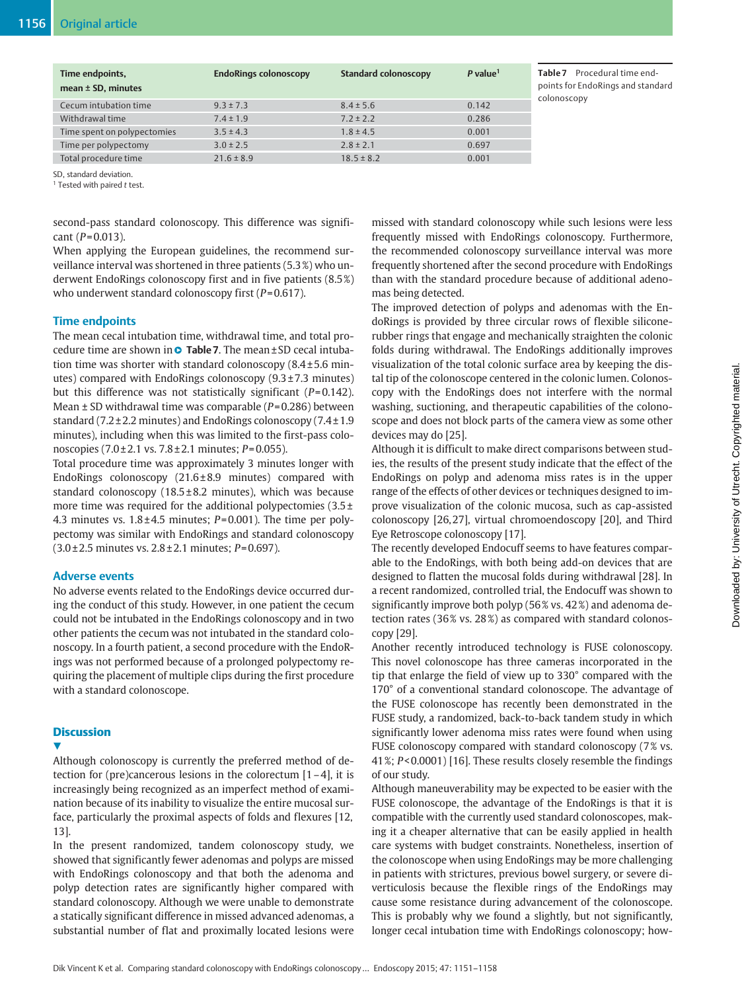| Time endpoints,<br>mean $\pm$ SD, minutes | <b>EndoRings colonoscopy</b> | <b>Standard colonoscopy</b> | $P$ value <sup>1</sup> |
|-------------------------------------------|------------------------------|-----------------------------|------------------------|
| Cecum intubation time                     | $9.3 \pm 7.3$                | $8.4 \pm 5.6$               | 0.142                  |
| Withdrawal time                           | $7.4 \pm 1.9$                | $7.2 \pm 2.2$               | 0.286                  |
| Time spent on polypectomies               | $3.5 \pm 4.3$                | $1.8 \pm 4.5$               | 0.001                  |
| Time per polypectomy                      | $3.0 \pm 2.5$                | $2.8 \pm 2.1$               | 0.697                  |
| Total procedure time                      | $21.6 \pm 8.9$               | $18.5 \pm 8.2$              | 0.001                  |
|                                           |                              |                             |                        |

Table 7 Procedural time endpoints for EndoRings and standard colonoscopy

SD, standard deviation.

<sup>1</sup> Tested with paired t test.

second-pass standard colonoscopy. This difference was significant ( $P = 0.013$ ).

When applying the European guidelines, the recommend surveillance interval was shortened in three patients (5.3 %) who underwent EndoRings colonoscopy first and in five patients (8.5 %) who underwent standard colonoscopy first  $(P= 0.617)$ .

# Time endpoints

The mean cecal intubation time, withdrawal time, and total procedure time are shown in ● Table 7. The mean±SD cecal intubation time was shorter with standard colonoscopy  $(8.4 \pm 5.6 \text{ min}$ utes) compared with EndoRings colonoscopy (9.3 ± 7.3 minutes) but this difference was not statistically significant  $(P= 0.142)$ . Mean  $\pm$  SD withdrawal time was comparable ( $P = 0.286$ ) between standard (7.2 ± 2.2 minutes) and EndoRings colonoscopy (7.4 ± 1.9 minutes), including when this was limited to the first-pass colonoscopies  $(7.0 \pm 2.1 \text{ vs. } 7.8 \pm 2.1 \text{ minutes}; P = 0.055)$ .

Total procedure time was approximately 3 minutes longer with EndoRings colonoscopy  $(21.6 \pm 8.9 \text{ minutes})$  compared with standard colonoscopy  $(18.5 \pm 8.2 \text{ minutes})$ , which was because more time was required for the additional polypectomies (3.5 ± 4.3 minutes vs.  $1.8 \pm 4.5$  minutes;  $P=0.001$ ). The time per polypectomy was similar with EndoRings and standard colonoscopy  $(3.0 \pm 2.5 \text{ minutes vs. } 2.8 \pm 2.1 \text{ minutes}; P=0.697).$ 

# Adverse events

No adverse events related to the EndoRings device occurred during the conduct of this study. However, in one patient the cecum could not be intubated in the EndoRings colonoscopy and in two other patients the cecum was not intubated in the standard colonoscopy. In a fourth patient, a second procedure with the EndoRings was not performed because of a prolonged polypectomy requiring the placement of multiple clips during the first procedure with a standard colonoscope.

# **Discussion**

v,

Although colonoscopy is currently the preferred method of detection for (pre)cancerous lesions in the colorectum  $[1-4]$ , it is increasingly being recognized as an imperfect method of examination because of its inability to visualize the entire mucosal surface, particularly the proximal aspects of folds and flexures [12, 13].

In the present randomized, tandem colonoscopy study, we showed that significantly fewer adenomas and polyps are missed with EndoRings colonoscopy and that both the adenoma and polyp detection rates are significantly higher compared with standard colonoscopy. Although we were unable to demonstrate a statically significant difference in missed advanced adenomas, a substantial number of flat and proximally located lesions were

missed with standard colonoscopy while such lesions were less frequently missed with EndoRings colonoscopy. Furthermore, the recommended colonoscopy surveillance interval was more frequently shortened after the second procedure with EndoRings than with the standard procedure because of additional adenomas being detected.

The improved detection of polyps and adenomas with the EndoRings is provided by three circular rows of flexible siliconerubber rings that engage and mechanically straighten the colonic folds during withdrawal. The EndoRings additionally improves visualization of the total colonic surface area by keeping the distal tip of the colonoscope centered in the colonic lumen. Colonoscopy with the EndoRings does not interfere with the normal washing, suctioning, and therapeutic capabilities of the colonoscope and does not block parts of the camera view as some other devices may do [25].

Although it is difficult to make direct comparisons between studies, the results of the present study indicate that the effect of the EndoRings on polyp and adenoma miss rates is in the upper range of the effects of other devices or techniques designed to improve visualization of the colonic mucosa, such as cap-assisted colonoscopy [26, 27], virtual chromoendoscopy [20], and Third Eye Retroscope colonoscopy [17].

The recently developed Endocuff seems to have features comparable to the EndoRings, with both being add-on devices that are designed to flatten the mucosal folds during withdrawal [28]. In a recent randomized, controlled trial, the Endocuff was shown to significantly improve both polyp (56 % vs. 42 %) and adenoma detection rates (36% vs. 28%) as compared with standard colonoscopy [29].

Another recently introduced technology is FUSE colonoscopy. This novel colonoscope has three cameras incorporated in the tip that enlarge the field of view up to 330° compared with the 170° of a conventional standard colonoscope. The advantage of the FUSE colonoscope has recently been demonstrated in the FUSE study, a randomized, back-to-back tandem study in which significantly lower adenoma miss rates were found when using FUSE colonoscopy compared with standard colonoscopy (7% vs. 41 %; P< 0.0001) [16]. These results closely resemble the findings of our study.

Although maneuverability may be expected to be easier with the FUSE colonoscope, the advantage of the EndoRings is that it is compatible with the currently used standard colonoscopes, making it a cheaper alternative that can be easily applied in health care systems with budget constraints. Nonetheless, insertion of the colonoscope when using EndoRings may be more challenging in patients with strictures, previous bowel surgery, or severe diverticulosis because the flexible rings of the EndoRings may cause some resistance during advancement of the colonoscope. This is probably why we found a slightly, but not significantly, longer cecal intubation time with EndoRings colonoscopy; how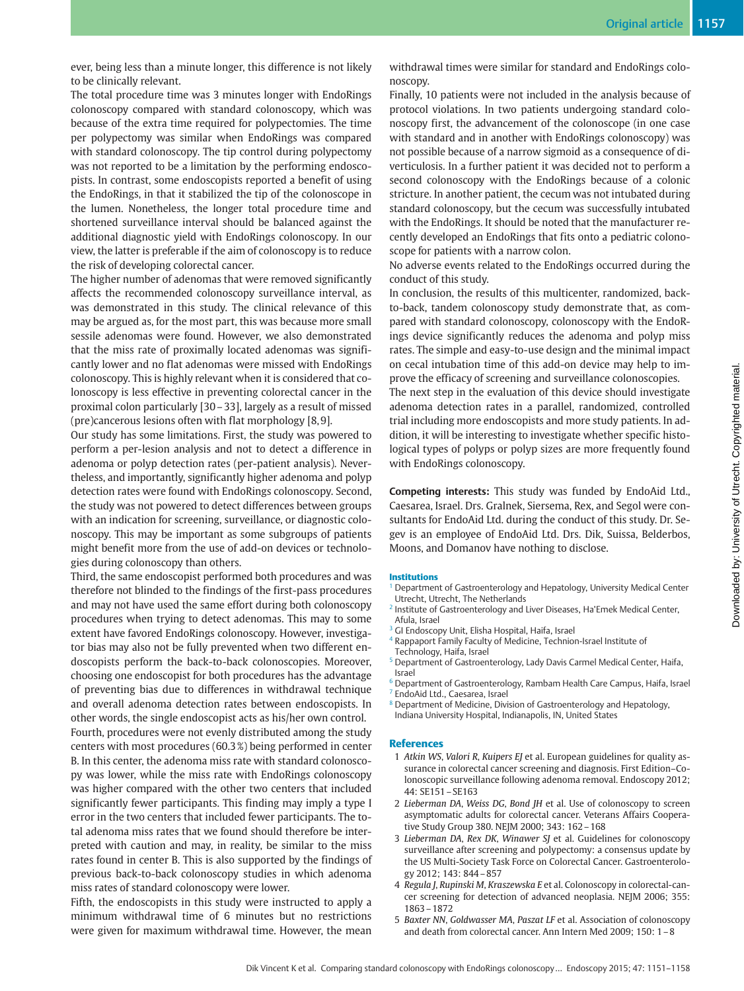ever, being less than a minute longer, this difference is not likely to be clinically relevant.

The total procedure time was 3 minutes longer with EndoRings colonoscopy compared with standard colonoscopy, which was because of the extra time required for polypectomies. The time per polypectomy was similar when EndoRings was compared with standard colonoscopy. The tip control during polypectomy was not reported to be a limitation by the performing endoscopists. In contrast, some endoscopists reported a benefit of using the EndoRings, in that it stabilized the tip of the colonoscope in the lumen. Nonetheless, the longer total procedure time and shortened surveillance interval should be balanced against the additional diagnostic yield with EndoRings colonoscopy. In our view, the latter is preferable if the aim of colonoscopy is to reduce the risk of developing colorectal cancer.

The higher number of adenomas that were removed significantly affects the recommended colonoscopy surveillance interval, as was demonstrated in this study. The clinical relevance of this may be argued as, for the most part, this was because more small sessile adenomas were found. However, we also demonstrated that the miss rate of proximally located adenomas was significantly lower and no flat adenomas were missed with EndoRings colonoscopy. This is highly relevant when it is considered that colonoscopy is less effective in preventing colorectal cancer in the proximal colon particularly [30–33], largely as a result of missed (pre)cancerous lesions often with flat morphology [8, 9].

Our study has some limitations. First, the study was powered to perform a per-lesion analysis and not to detect a difference in adenoma or polyp detection rates (per-patient analysis). Nevertheless, and importantly, significantly higher adenoma and polyp detection rates were found with EndoRings colonoscopy. Second, the study was not powered to detect differences between groups with an indication for screening, surveillance, or diagnostic colonoscopy. This may be important as some subgroups of patients might benefit more from the use of add-on devices or technologies during colonoscopy than others.

Third, the same endoscopist performed both procedures and was therefore not blinded to the findings of the first-pass procedures and may not have used the same effort during both colonoscopy procedures when trying to detect adenomas. This may to some extent have favored EndoRings colonoscopy. However, investigator bias may also not be fully prevented when two different endoscopists perform the back-to-back colonoscopies. Moreover, choosing one endoscopist for both procedures has the advantage of preventing bias due to differences in withdrawal technique and overall adenoma detection rates between endoscopists. In other words, the single endoscopist acts as his/her own control. Fourth, procedures were not evenly distributed among the study centers with most procedures (60.3 %) being performed in center B. In this center, the adenoma miss rate with standard colonoscopy was lower, while the miss rate with EndoRings colonoscopy was higher compared with the other two centers that included significantly fewer participants. This finding may imply a type I error in the two centers that included fewer participants. The total adenoma miss rates that we found should therefore be interpreted with caution and may, in reality, be similar to the miss rates found in center B. This is also supported by the findings of previous back-to-back colonoscopy studies in which adenoma miss rates of standard colonoscopy were lower.

Fifth, the endoscopists in this study were instructed to apply a minimum withdrawal time of 6 minutes but no restrictions were given for maximum withdrawal time. However, the mean withdrawal times were similar for standard and EndoRings colonoscopy.

Finally, 10 patients were not included in the analysis because of protocol violations. In two patients undergoing standard colonoscopy first, the advancement of the colonoscope (in one case with standard and in another with EndoRings colonoscopy) was not possible because of a narrow sigmoid as a consequence of diverticulosis. In a further patient it was decided not to perform a second colonoscopy with the EndoRings because of a colonic stricture. In another patient, the cecum was not intubated during standard colonoscopy, but the cecum was successfully intubated with the EndoRings. It should be noted that the manufacturer recently developed an EndoRings that fits onto a pediatric colonoscope for patients with a narrow colon.

No adverse events related to the EndoRings occurred during the conduct of this study.

In conclusion, the results of this multicenter, randomized, backto-back, tandem colonoscopy study demonstrate that, as compared with standard colonoscopy, colonoscopy with the EndoRings device significantly reduces the adenoma and polyp miss rates. The simple and easy-to-use design and the minimal impact on cecal intubation time of this add-on device may help to improve the efficacy of screening and surveillance colonoscopies.

The next step in the evaluation of this device should investigate adenoma detection rates in a parallel, randomized, controlled trial including more endoscopists and more study patients. In addition, it will be interesting to investigate whether specific histological types of polyps or polyp sizes are more frequently found with EndoRings colonoscopy.

Competing interests: This study was funded by EndoAid Ltd., Caesarea, Israel. Drs. Gralnek, Siersema, Rex, and Segol were consultants for EndoAid Ltd. during the conduct of this study. Dr. Segev is an employee of EndoAid Ltd. Drs. Dik, Suissa, Belderbos, Moons, and Domanov have nothing to disclose.

#### **Institutions**

- <sup>1</sup> Department of Gastroenterology and Hepatology, University Medical Center Utrecht, Utrecht, The Netherlands
- <sup>2</sup> Institute of Gastroenterology and Liver Diseases, Ha'Emek Medical Center, Afula, Israel
- <sup>3</sup> GI Endoscopy Unit, Elisha Hospital, Haifa, Israel
- <sup>4</sup> Rappaport Family Faculty of Medicine, Technion-Israel Institute of Technology, Haifa, Israel
- <sup>5</sup> Department of Gastroenterology, Lady Davis Carmel Medical Center, Haifa, Israel
- <sup>6</sup> Department of Gastroenterology, Rambam Health Care Campus, Haifa, Israel
- <sup>7</sup> EndoAid Ltd., Caesarea, Israel
- <sup>8</sup> Department of Medicine, Division of Gastroenterology and Hepatology, Indiana University Hospital, Indianapolis, IN, United States

#### References

- 1 Atkin WS, Valori R, Kuipers EJ et al. European guidelines for quality assurance in colorectal cancer screening and diagnosis. First Edition–Colonoscopic surveillance following adenoma removal. Endoscopy 2012; 44: SE151–SE163
- 2 Lieberman DA, Weiss DG, Bond JH et al. Use of colonoscopy to screen asymptomatic adults for colorectal cancer. Veterans Affairs Cooperative Study Group 380. NEJM 2000; 343: 162–168
- 3 Lieberman DA, Rex DK, Winawer SJ et al. Guidelines for colonoscopy surveillance after screening and polypectomy: a consensus update by the US Multi-Society Task Force on Colorectal Cancer. Gastroenterology 2012; 143: 844–857
- 4 Regula J, Rupinski M, Kraszewska E et al. Colonoscopy in colorectal-cancer screening for detection of advanced neoplasia. NEJM 2006; 355: 1863–1872
- 5 Baxter NN, Goldwasser MA, Paszat LF et al. Association of colonoscopy and death from colorectal cancer. Ann Intern Med 2009; 150: 1–8